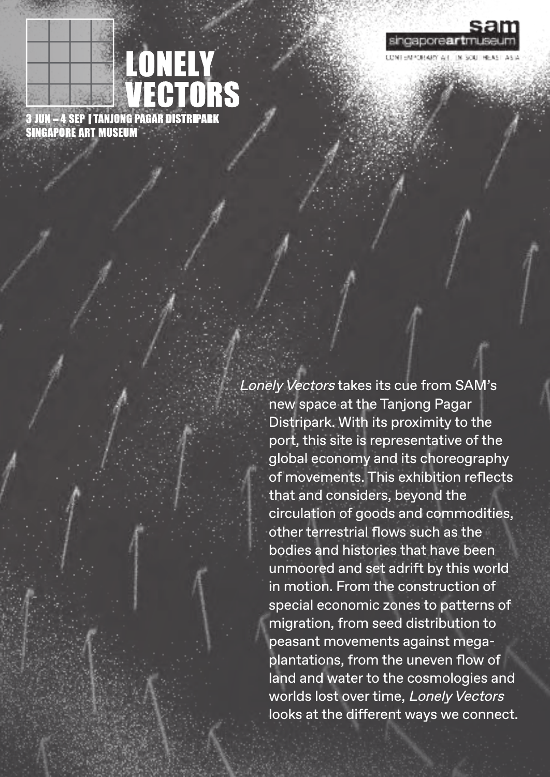

**LONELY<br>VECTORS** 

Lonely Vectors takes its cue from SAM's new space at the Tanjong Pagar Distripark. With its proximity to the port, this site is representative of the global economy and its choreography of movements. This exhibition reflects that and considers, beyond the circulation of goods and commodities, other terrestrial flows such as the bodies and histories that have been unmoored and set adrift by this world in motion. From the construction of special economic zones to patterns of migration, from seed distribution to peasant movements against megaplantations, from the uneven flow of land and water to the cosmologies and worlds lost over time, Lonely Vectors looks at the different ways we connect.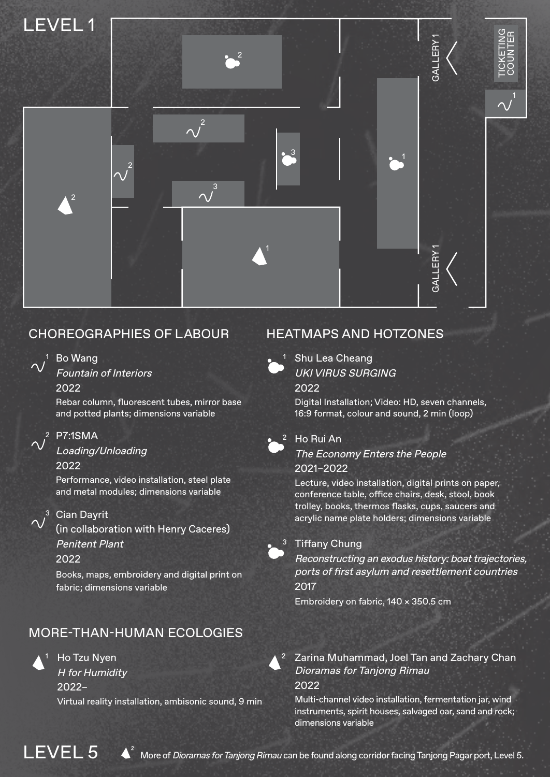

# CHOREOGRAPHIES OF LABOUR HEATMAPS AND HOTZONES



# Bo Wang

Fountain of Interiors 2022

Rebar column, fluorescent tubes, mirror base and potted plants; dimensions variable



### P7:1SMA 2

Loading/Unloading 2022

Performance, video installation, steel plate and metal modules; dimensions variable



#### <sup>3</sup> Cian Dayrit

(in collaboration with Henry Caceres) Penitent Plant

### 2022

Books, maps, embroidery and digital print on fabric; dimensions variable

## MORE-THAN-HUMAN ECOLOGIES



1 Ho Tzu Nyen and A 2

H for Humidity 2022–

Virtual reality installation, ambisonic sound, 9 min



Shu Lea Cheang UKI VIRUS SURGING

2022

Digital Installation; Video: HD, seven channels, 16:9 format, colour and sound, 2 min (loop)



#### $2$  Ho Rui An

The Economy Enters the People

#### 2021–2022

Lecture, video installation, digital prints on paper, conference table, office chairs, desk, stool, book trolley, books, thermos flasks, cups, saucers and acrylic name plate holders; dimensions variable

#### <sup>3</sup> Tiffany Chung

Reconstructing an exodus history: boat trajectories, ports of first asylum and resettlement countries 2017

Embroidery on fabric, 140 × 350.5 cm

#### Zarina Muhammad, Joel Tan and Zachary Chan Dioramas for Tanjong Rimau 2022

Multi-channel video installation, fermentation jar, wind instruments, spirit houses, salvaged oar, sand and rock; dimensions variable

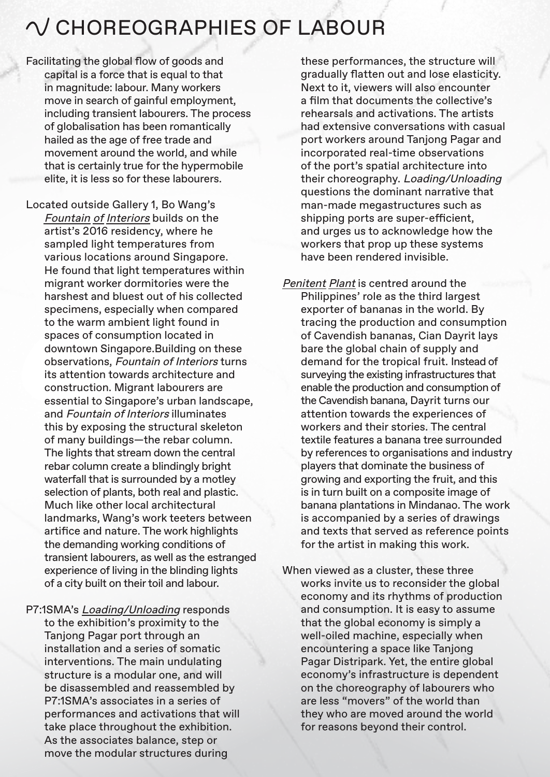# $\bigwedge$  CHOREOGRAPHIES OF LABOUR

Facilitating the global flow of goods and capital is a force that is equal to that in magnitude: labour. Many workers move in search of gainful employment, including transient labourers. The process of globalisation has been romantically hailed as the age of free trade and movement around the world, and while that is certainly true for the hypermobile elite, it is less so for these labourers.

Located outside Gallery 1, Bo Wang's Fountain of Interiors builds on the artist's 2016 residency, where he sampled light temperatures from various locations around Singapore. He found that light temperatures within migrant worker dormitories were the harshest and bluest out of his collected specimens, especially when compared to the warm ambient light found in spaces of consumption located in downtown Singapore.Building on these observations, Fountain of Interiors turns its attention towards architecture and construction. Migrant labourers are essential to Singapore's urban landscape, and Fountain of Interiors illuminates this by exposing the structural skeleton of many buildings—the rebar column. The lights that stream down the central rebar column create a blindingly bright waterfall that is surrounded by a motley selection of plants, both real and plastic. Much like other local architectural landmarks, Wang's work teeters between artifice and nature. The work highlights the demanding working conditions of transient labourers, as well as the estranged experience of living in the blinding lights of a city built on their toil and labour.

P7:1SMA's Loading/Unloading responds to the exhibition's proximity to the Tanjong Pagar port through an installation and a series of somatic interventions. The main undulating structure is a modular one, and will be disassembled and reassembled by P7:1SMA's associates in a series of performances and activations that will take place throughout the exhibition. As the associates balance, step or move the modular structures during

these performances, the structure will gradually flatten out and lose elasticity. Next to it, viewers will also encounter a film that documents the collective's rehearsals and activations. The artists had extensive conversations with casual port workers around Tanjong Pagar and incorporated real-time observations of the port's spatial architecture into their choreography. Loading/Unloading questions the dominant narrative that man-made megastructures such as shipping ports are super-efficient, and urges us to acknowledge how the workers that prop up these systems have been rendered invisible.

Penitent Plant is centred around the Philippines' role as the third largest exporter of bananas in the world. By tracing the production and consumption of Cavendish bananas, Cian Dayrit lays bare the global chain of supply and demand for the tropical fruit. Instead of surveying the existing infrastructures that enable the production and consumption of the Cavendish banana, Dayrit turns our attention towards the experiences of workers and their stories. The central textile features a banana tree surrounded by references to organisations and industry players that dominate the business of growing and exporting the fruit, and this is in turn built on a composite image of banana plantations in Mindanao. The work is accompanied by a series of drawings and texts that served as reference points for the artist in making this work.

When viewed as a cluster, these three works invite us to reconsider the global economy and its rhythms of production and consumption. It is easy to assume that the global economy is simply a well-oiled machine, especially when encountering a space like Tanjong Pagar Distripark. Yet, the entire global economy's infrastructure is dependent on the choreography of labourers who are less "movers" of the world than they who are moved around the world for reasons beyond their control.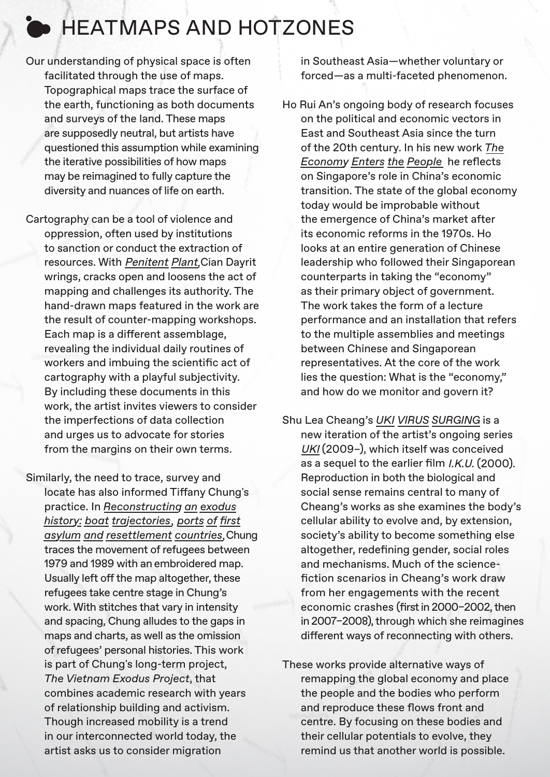# **EXAMPLE AND HOTZONES**

- Our understanding of physical space is often facilitated through the use of maps. Topographical maps trace the surface of the earth, functioning as both documents and surveys of the land. These maps are supposedly neutral, but artists have questioned this assumption while examining the iterative possibilities of how maps may be reimagined to fully capture the diversity and nuances of life on earth.
- Cartography can be a tool of violence and oppression, often used by institutions to sanction or conduct the extraction of resources. With <u>Penitent Plant</u>,Cian Dayrit wrings, cracks open and loosens the act of mapping and challenges its authority. The hand-drawn maps featured in the work are the result of counter-mapping workshops. Each map is a different assemblage, revealing the individual daily routines of workers and imbuing the scientific act of cartography with a playful subjectivity. By including these documents in this work, the artist invites viewers to consider the imperfections of data collection and urges us to advocate for stories from the margins on their own terms.

Similarly, the need to trace, survey and locate has also informed Tiffany Chung's practice. In *Reconstructing an exodus history: boat trajectories ports of first*  , asylum and resettlement countries, Chung traces the movement of refugees between 1979 and 1989 with an embroidered map. Usually left off the map altogether, these refugees take centre stage in Chung's work. With stitches that vary in intensity and spacing, Chung alludes to the gaps in maps and charts, as well as the omission of refugees' personal histories. This work is part of Chung's long-term project, *The Vietnam Exodus Project*, that combines academic research with years of relationship building and activism. Though increased mobility is a trend in our interconnected world today, the artist asks us to consider migration

in Southeast Asia—whether voluntary or forced—as a multi-faceted phenomenon.

Ho Rui An's ongoing body of research focuses on the political and economic vectors in East and Southeast Asia since the turn of the 20th century. In his new work *The Economy Enters the People* he reflects on Singapore's role in China's economic transition. The state of the global economy today would be improbable without the emergence of China's market after its economic reforms in the 1970s. Ho looks at an entire generation of Chinese leadership who followed their Singaporean counterparts in taking the "economy" as their primary object of government. The work takes the form of a lecture performance and an installation that refers to the multiple assemblies and meetings between Chinese and Singaporean representatives. At the core of the work lies the question: What is the "economy," and how do we monitor and govern it?

Shu Lea Cheang's *UKI VIRUS SURGING* is a new iteration of the artist's ongoing series UKI (2009–), which itself was conceived as a sequel to the earlier film *I.K.U.* (2000). Reproduction in both the biological and social sense remains central to many of Cheang's works as she examines the body's cellular ability to evolve and, by extension, society's ability to become something else altogether, redefining gender, social roles and mechanisms. Much of the sciencefiction scenarios in Cheang's work draw from her engagements with the recent economic crashes (first in 2000–2002, then in 2007–2008), through which she reimagines different ways of reconnecting with others.

These works provide alternative ways of remapping the global economy and place the people and the bodies who perform and reproduce these flows front and centre. By focusing on these bodies and their cellular potentials to evolve, they remind us that another world is possible.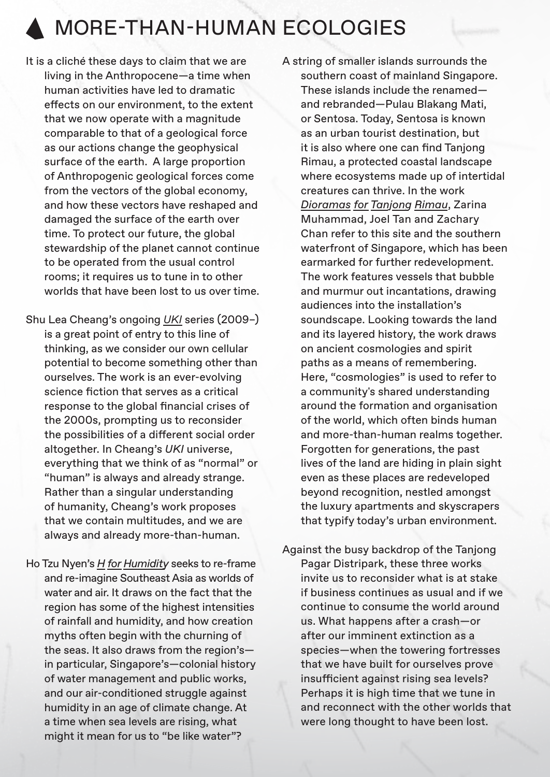# MORE-THAN-HUMAN ECOLOGIES

- It is a cliché these days to claim that we are living in the Anthropocene—a time when human activities have led to dramatic effects on our environment, to the extent that we now operate with a magnitude comparable to that of a geological force as our actions change the geophysical surface of the earth. A large proportion of Anthropogenic geological forces come from the vectors of the global economy. and how these vectors have reshaped and damaged the surface of the earth over time. To protect our future, the global stewardship of the planet cannot continue to be operated from the usual control rooms; it requires us to tune in to other worlds that have been lost to us over time.
- Shu Lea Cheang's ongoing *UKI* series (2009–) is a great point of entry to this line of thinking, as we consider our own cellular potential to become something other than ourselves. The work is an ever-evolving science fiction that serves as a critical response to the global financial crises of the 2000s, prompting us to reconsider the possibilities of a different social order altogether. In Cheang's *UKI* universe, everything that we think of as "normal" or "human" is always and already strange. Rather than a singular understanding of humanity, Cheang's work proposes that we contain multitudes, and we are always and already more-than-human.
- Ho Tzu Nyen's *H for Humidity* seeks to re-frame and re-imagine Southeast Asia as worlds of water and air. It draws on the fact that the region has some of the highest intensities of rainfall and humidity, and how creation myths often begin with the churning of the seas. It also draws from the region's in particular, Singapore's—colonial history of water management and public works, and our air-conditioned struggle against humidity in an age of climate change. At a time when sea levels are rising, what might it mean for us to "be like water"?
- A string of smaller islands surrounds the southern coast of mainland Singapore. These islands include the renamed and rebranded—Pulau Blakang Mati, or Sentosa. Today, Sentosa is known as an urban tourist destination, but it is also where one can find Tanjong Rimau, a protected coastal landscape where ecosystems made up of intertidal creatures can thrive. In the work *Dioramas for Tanjong Rimau*, Zarina Muhammad, Joel Tan and Zachary Chan refer to this site and the southern waterfront of Singapore, which has been earmarked for further redevelopment. The work features vessels that bubble and murmur out incantations, drawing audiences into the installation's soundscape. Looking towards the land and its layered history, the work draws on ancient cosmologies and spirit paths as a means of remembering. Here, "cosmologies" is used to refer to a community's shared understanding around the formation and organisation of the world, which often binds human and more-than-human realms together. Forgotten for generations, the past lives of the land are hiding in plain sight even as these places are redeveloped beyond recognition, nestled amongst the luxury apartments and skyscrapers that typify today's urban environment.
- Against the busy backdrop of the Tanjong Pagar Distripark, these three works invite us to reconsider what is at stake if business continues as usual and if we continue to consume the world around us. What happens after a crash—or after our imminent extinction as a species—when the towering fortresses that we have built for ourselves prove insufficient against rising sea levels? Perhaps it is high time that we tune in and reconnect with the other worlds that were long thought to have been lost.